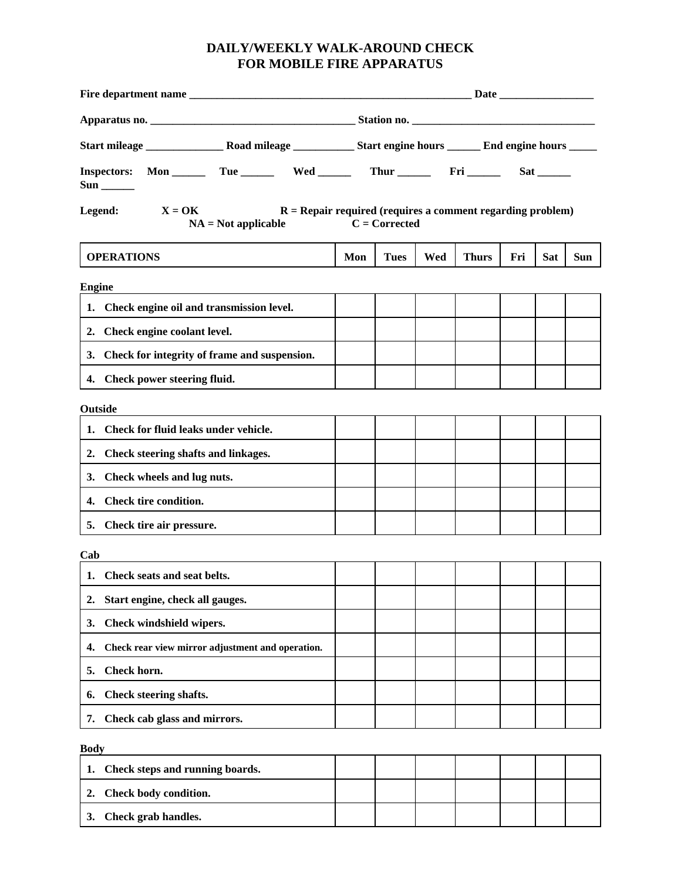## **DAILY/WEEKLY WALK-AROUND CHECK FOR MOBILE FIRE APPARATUS**

|                                                                                                              | Station no. |                 |     |              |                           |            |     |  |
|--------------------------------------------------------------------------------------------------------------|-------------|-----------------|-----|--------------|---------------------------|------------|-----|--|
|                                                                                                              |             |                 |     |              |                           |            |     |  |
| <b>Inspectors:</b><br>$\text{Sun}$ <sub>_________</sub>                                                      |             |                 |     |              | $Sat$ <sub>________</sub> |            |     |  |
| $X = OK$<br>Legend:<br>$R =$ Repair required (requires a comment regarding problem)<br>$NA = Not applicable$ |             | $C = Corrected$ |     |              |                           |            |     |  |
| <b>OPERATIONS</b>                                                                                            | Mon         | <b>Tues</b>     | Wed | <b>Thurs</b> | Fri                       | <b>Sat</b> | Sun |  |
| <b>Engine</b>                                                                                                |             |                 |     |              |                           |            |     |  |
| 1. Check engine oil and transmission level.                                                                  |             |                 |     |              |                           |            |     |  |
| 2. Check engine coolant level.                                                                               |             |                 |     |              |                           |            |     |  |
| 3. Check for integrity of frame and suspension.                                                              |             |                 |     |              |                           |            |     |  |
| 4. Check power steering fluid.                                                                               |             |                 |     |              |                           |            |     |  |
| <b>Outside</b>                                                                                               |             |                 |     |              |                           |            |     |  |
| Check for fluid leaks under vehicle.<br>1.                                                                   |             |                 |     |              |                           |            |     |  |
| Check steering shafts and linkages.<br>2.                                                                    |             |                 |     |              |                           |            |     |  |
| Check wheels and lug nuts.<br>3.                                                                             |             |                 |     |              |                           |            |     |  |
| 4. Check tire condition.                                                                                     |             |                 |     |              |                           |            |     |  |
| 5. Check tire air pressure.                                                                                  |             |                 |     |              |                           |            |     |  |
| Cab                                                                                                          |             |                 |     |              |                           |            |     |  |
| 1. Check seats and seat belts.                                                                               |             |                 |     |              |                           |            |     |  |
| Start engine, check all gauges.<br>2.                                                                        |             |                 |     |              |                           |            |     |  |
| Check windshield wipers.<br>3.                                                                               |             |                 |     |              |                           |            |     |  |
| Check rear view mirror adjustment and operation.<br>4.                                                       |             |                 |     |              |                           |            |     |  |
| Check horn.<br>5.                                                                                            |             |                 |     |              |                           |            |     |  |
| Check steering shafts.<br>6.                                                                                 |             |                 |     |              |                           |            |     |  |
| 7. Check cab glass and mirrors.                                                                              |             |                 |     |              |                           |            |     |  |
| <b>Body</b>                                                                                                  |             |                 |     |              |                           |            |     |  |
| Check steps and running boards.<br>1.                                                                        |             |                 |     |              |                           |            |     |  |
| Check body condition.<br>2.                                                                                  |             |                 |     |              |                           |            |     |  |
| Check grab handles.<br>3.                                                                                    |             |                 |     |              |                           |            |     |  |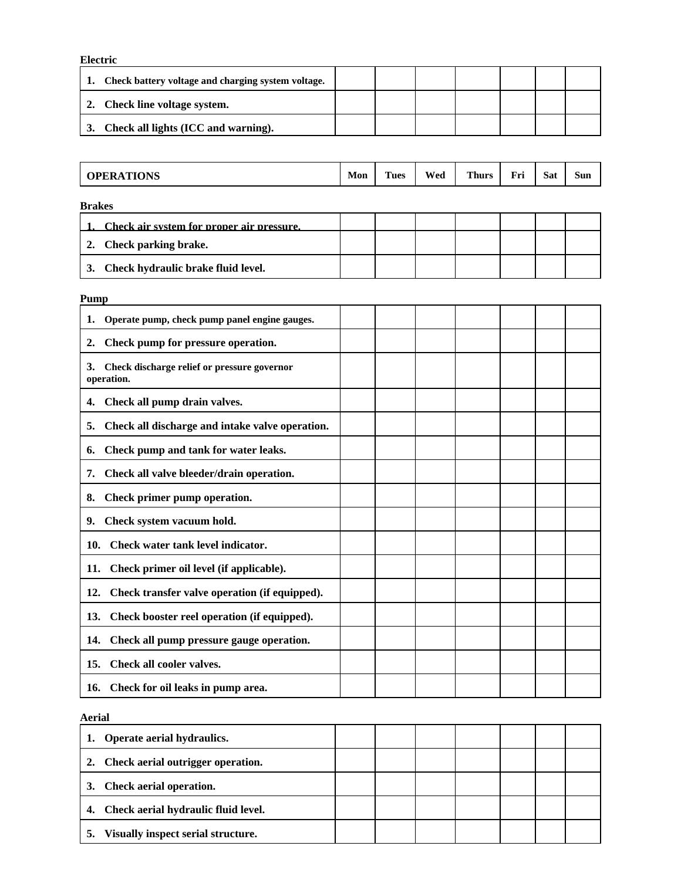| Electric                                           |  |  |  |  |  |  |  |  |
|----------------------------------------------------|--|--|--|--|--|--|--|--|
| Check battery voltage and charging system voltage. |  |  |  |  |  |  |  |  |
| Check line voltage system.                         |  |  |  |  |  |  |  |  |
| Check all lights (ICC and warning).<br>3.          |  |  |  |  |  |  |  |  |

| <b>OPERATIONS</b>                         | Mon | <b>Tues</b> | Wed | <b>Thurs</b> | Fri | <b>Sat</b> | <b>Sun</b> |
|-------------------------------------------|-----|-------------|-----|--------------|-----|------------|------------|
| <b>Brakes</b>                             |     |             |     |              |     |            |            |
| Check air system for proper air pressure. |     |             |     |              |     |            |            |
| Check parking brake.<br>2.                |     |             |     |              |     |            |            |
| Check hydraulic brake fluid level.<br>3.  |     |             |     |              |     |            |            |
| Pump                                      |     |             |     |              |     |            |            |

| 1.<br>Operate pump, check pump panel engine gauges.             |  |  |  |  |
|-----------------------------------------------------------------|--|--|--|--|
| Check pump for pressure operation.<br>2.                        |  |  |  |  |
| Check discharge relief or pressure governor<br>3.<br>operation. |  |  |  |  |
| Check all pump drain valves.<br>4.                              |  |  |  |  |
| Check all discharge and intake valve operation.<br>5.           |  |  |  |  |
| Check pump and tank for water leaks.<br>6.                      |  |  |  |  |
| Check all valve bleeder/drain operation.<br>7.                  |  |  |  |  |
| Check primer pump operation.<br>8.                              |  |  |  |  |
| Check system vacuum hold.<br>9.                                 |  |  |  |  |
| Check water tank level indicator.<br>10.                        |  |  |  |  |
| Check primer oil level (if applicable).<br>11.                  |  |  |  |  |
| Check transfer valve operation (if equipped).<br>12.            |  |  |  |  |
| 13.<br>Check booster reel operation (if equipped).              |  |  |  |  |
| Check all pump pressure gauge operation.<br>14.                 |  |  |  |  |
| Check all cooler valves.<br>15.                                 |  |  |  |  |
| 16. Check for oil leaks in pump area.                           |  |  |  |  |

**Aerial** 

| Operate aerial hydraulics.<br>1.         |  |  |  |  |
|------------------------------------------|--|--|--|--|
| 2. Check aerial outrigger operation.     |  |  |  |  |
| Check aerial operation.<br>3.            |  |  |  |  |
| 4. Check aerial hydraulic fluid level.   |  |  |  |  |
| Visually inspect serial structure.<br>5. |  |  |  |  |